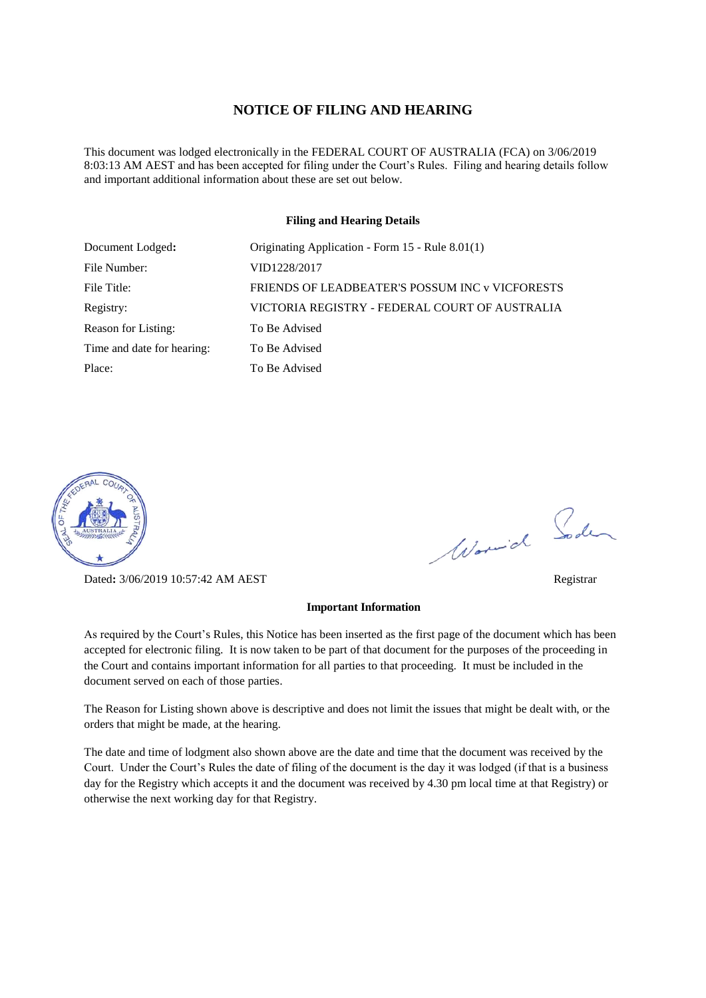#### **NOTICE OF FILING AND HEARING**

This document was lodged electronically in the FEDERAL COURT OF AUSTRALIA (FCA) on 3/06/2019 8:03:13 AM AEST and has been accepted for filing under the Court's Rules. Filing and hearing details follow and important additional information about these are set out below.

#### **Filing and Hearing Details**

| Document Lodged:           | Originating Application - Form 15 - Rule 8.01(1) |
|----------------------------|--------------------------------------------------|
| File Number:               | VID1228/2017                                     |
| File Title:                | FRIENDS OF LEADBEATER'S POSSUM INC v VICFORESTS  |
| Registry:                  | VICTORIA REGISTRY - FEDERAL COURT OF AUSTRALIA   |
| Reason for Listing:        | To Be Advised                                    |
| Time and date for hearing: | To Be Advised                                    |
| Place:                     | To Be Advised                                    |



Dated**:** 3/06/2019 10:57:42 AM AEST Registrar

#### **Important Information**

As required by the Court's Rules, this Notice has been inserted as the first page of the document which has been accepted for electronic filing. It is now taken to be part of that document for the purposes of the proceeding in the Court and contains important information for all parties to that proceeding. It must be included in the document served on each of those parties.

The Reason for Listing shown above is descriptive and does not limit the issues that might be dealt with, or the orders that might be made, at the hearing.

The date and time of lodgment also shown above are the date and time that the document was received by the Court. Under the Court's Rules the date of filing of the document is the day it was lodged (if that is a business day for the Registry which accepts it and the document was received by 4.30 pm local time at that Registry) or otherwise the next working day for that Registry.

Word Soden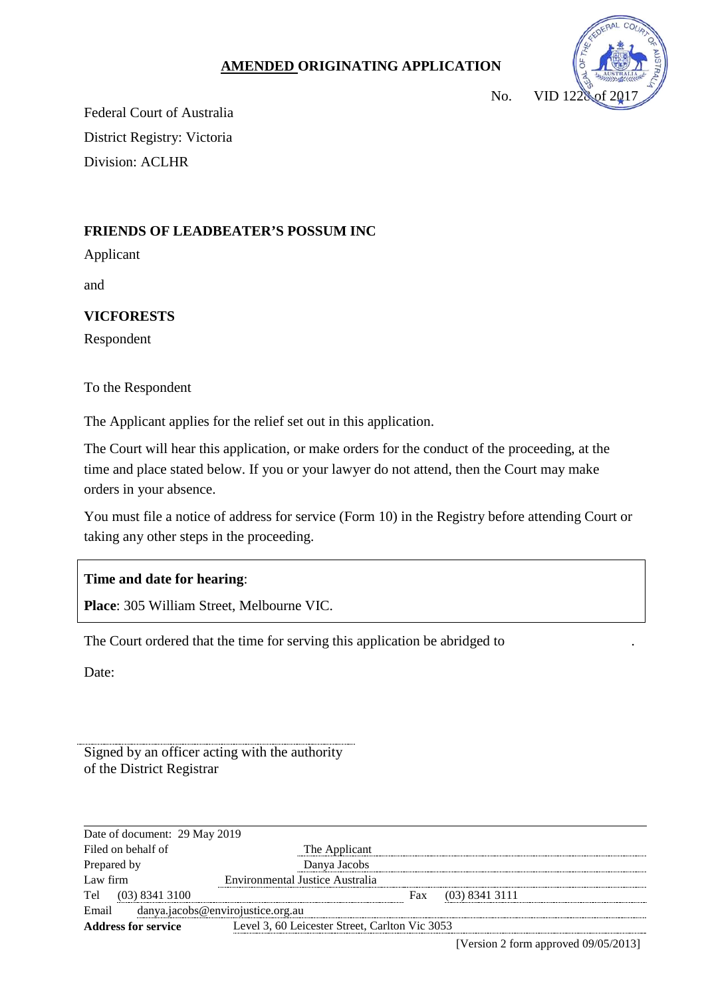## **AMENDED ORIGINATING APPLICATION**



Federal Court of Australia District Registry: Victoria Division: ACLHR

# **FRIENDS OF LEADBEATER'S POSSUM INC**

Applicant

and

# **VICFORESTS**

Respondent

To the Respondent

The Applicant applies for the relief set out in this application.

The Court will hear this application, or make orders for the conduct of the proceeding, at the time and place stated below. If you or your lawyer do not attend, then the Court may make orders in your absence.

You must file a notice of address for service (Form 10) in the Registry before attending Court or taking any other steps in the proceeding.

### **Time and date for hearing**:

**Place**: 305 William Street, Melbourne VIC.

The Court ordered that the time for serving this application be abridged to .

Date:

Signed by an officer acting with the authority of the District Registrar

| Date of document: 29 May 2019              |                                                |  |
|--------------------------------------------|------------------------------------------------|--|
| Filed on behalf of                         | The Applicant                                  |  |
| Prepared by                                | Danva Jacobs                                   |  |
| Law firm                                   | Environmental Justice Australia                |  |
| Tel<br>$(03)$ 8341 3100                    | $(03)$ 8341 3111<br>Fax                        |  |
| danya.jacobs@envirojustice.org.au<br>Email |                                                |  |
| <b>Address for service</b>                 | Level 3, 60 Leicester Street, Carlton Vic 3053 |  |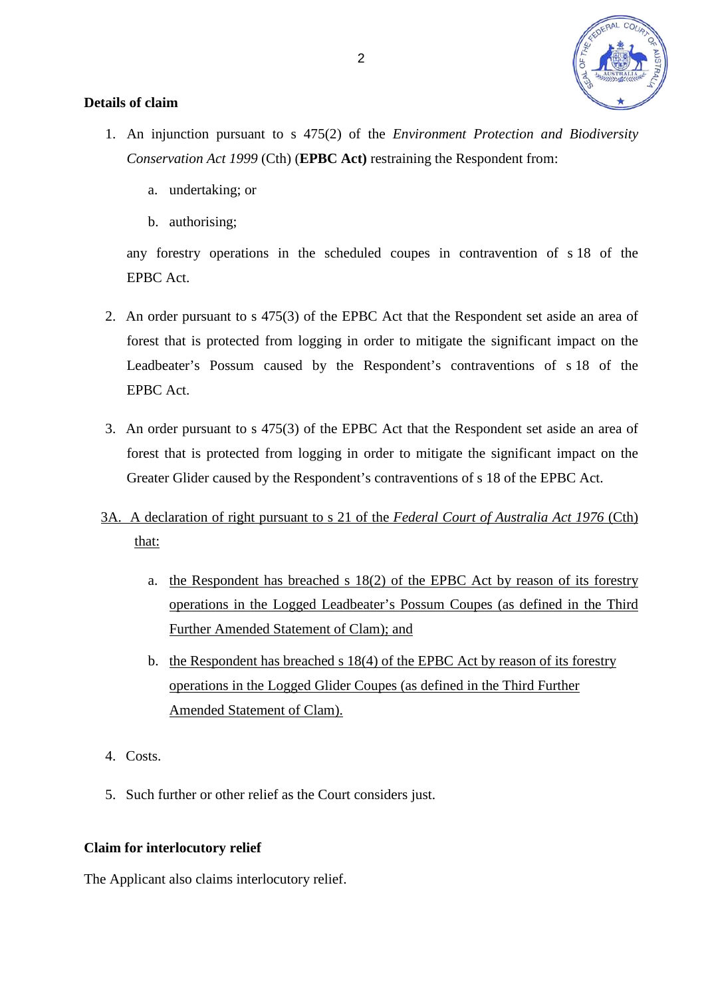

## **Details of claim**

- 1. An injunction pursuant to s 475(2) of the *Environment Protection and Biodiversity Conservation Act 1999* (Cth) (**EPBC Act)** restraining the Respondent from:
	- a. undertaking; or
	- b. authorising;

any forestry operations in the scheduled coupes in contravention of s 18 of the EPBC Act.

- 2. An order pursuant to s 475(3) of the EPBC Act that the Respondent set aside an area of forest that is protected from logging in order to mitigate the significant impact on the Leadbeater's Possum caused by the Respondent's contraventions of s 18 of the EPBC Act.
- 3. An order pursuant to s 475(3) of the EPBC Act that the Respondent set aside an area of forest that is protected from logging in order to mitigate the significant impact on the Greater Glider caused by the Respondent's contraventions of s 18 of the EPBC Act.
- 3A. A declaration of right pursuant to s 21 of the *Federal Court of Australia Act 1976* (Cth) that:
	- a. the Respondent has breached s 18(2) of the EPBC Act by reason of its forestry operations in the Logged Leadbeater's Possum Coupes (as defined in the Third Further Amended Statement of Clam); and
	- b. the Respondent has breached s 18(4) of the EPBC Act by reason of its forestry operations in the Logged Glider Coupes (as defined in the Third Further Amended Statement of Clam).
- 4. Costs.
- 5. Such further or other relief as the Court considers just.

### **Claim for interlocutory relief**

The Applicant also claims interlocutory relief.